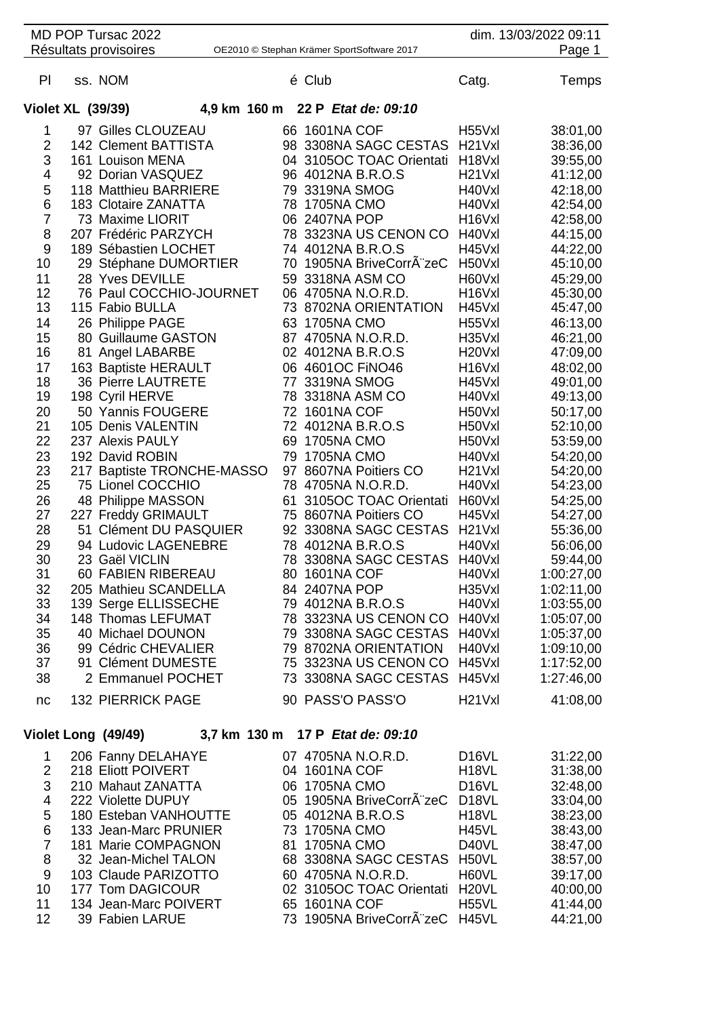| MD POP Tursac 2022<br>Résultats provisoires                                                                                                             |  |                                                                                                                                                                                                                                                                                                                                                                                                                                                                                                                             |                      | OE2010 © Stephan Krämer SportSoftware 2017                                                                                                                                                                                                                                 | dim. 13/03/2022 09:11<br>Page 1                                                                                                                                                                                                                                           |                                                                                                                                                                                                                                                                                                                                                                                           |                                                                                                                                                                                                                                                                                  |
|---------------------------------------------------------------------------------------------------------------------------------------------------------|--|-----------------------------------------------------------------------------------------------------------------------------------------------------------------------------------------------------------------------------------------------------------------------------------------------------------------------------------------------------------------------------------------------------------------------------------------------------------------------------------------------------------------------------|----------------------|----------------------------------------------------------------------------------------------------------------------------------------------------------------------------------------------------------------------------------------------------------------------------|---------------------------------------------------------------------------------------------------------------------------------------------------------------------------------------------------------------------------------------------------------------------------|-------------------------------------------------------------------------------------------------------------------------------------------------------------------------------------------------------------------------------------------------------------------------------------------------------------------------------------------------------------------------------------------|----------------------------------------------------------------------------------------------------------------------------------------------------------------------------------------------------------------------------------------------------------------------------------|
| PI                                                                                                                                                      |  | ss. NOM                                                                                                                                                                                                                                                                                                                                                                                                                                                                                                                     |                      | é Club                                                                                                                                                                                                                                                                     |                                                                                                                                                                                                                                                                           | Catg.                                                                                                                                                                                                                                                                                                                                                                                     | Temps                                                                                                                                                                                                                                                                            |
| Violet XL (39/39)                                                                                                                                       |  |                                                                                                                                                                                                                                                                                                                                                                                                                                                                                                                             |                      |                                                                                                                                                                                                                                                                            | 4,9 km 160 m 22 P Etat de: 09:10                                                                                                                                                                                                                                          |                                                                                                                                                                                                                                                                                                                                                                                           |                                                                                                                                                                                                                                                                                  |
| 1<br>$\overline{2}$<br>3<br>4<br>5<br>6<br>$\overline{7}$<br>8<br>9<br>10<br>11<br>12<br>13<br>14<br>15<br>16<br>17<br>18<br>19<br>20<br>21<br>22<br>23 |  | 97 Gilles CLOUZEAU<br>142 Clement BATTISTA<br>161 Louison MENA<br>92 Dorian VASQUEZ<br>118 Matthieu BARRIERE<br>183 Clotaire ZANATTA<br>73 Maxime LIORIT<br>207 Frédéric PARZYCH<br>189 Sébastien LOCHET<br>29 Stéphane DUMORTIER<br>28 Yves DEVILLE<br>76 Paul COCCHIO-JOURNET<br>115 Fabio BULLA<br>26 Philippe PAGE<br>80 Guillaume GASTON<br>81 Angel LABARBE<br>163 Baptiste HERAULT<br><b>36 Pierre LAUTRETE</b><br>198 Cyril HERVE<br>50 Yannis FOUGERE<br>105 Denis VALENTIN<br>237 Alexis PAULY<br>192 David ROBIN | 78<br>59<br>77<br>79 | 66 1601NA COF<br>96 4012NA B.R.O.S<br>79 3319NA SMOG<br>1705NA CMO<br>06 2407NA POP<br>74 4012NA B.R.O.S<br>63 1705NA CMO<br>02 4012NA B.R.O.S<br>06 4601OC FINO46<br>3319NA SMOG<br>78 3318NA ASM CO<br>72 1601NA COF<br>72 4012NA B.R.O.S<br>69 1705NA CMO<br>1705NA CMO | 98 3308NA SAGC CESTAS<br>04 3105OC TOAC Orientati<br>78 3323NA US CENON CO<br>70 1905NA BriveCorrA"zeC<br>3318NA ASM CO<br>06 4705NA N.O.R.D.<br>73 8702NA ORIENTATION<br>87 4705NA N.O.R.D.                                                                              | H55Vxl<br>H <sub>21</sub> V <sub>xl</sub><br>H <sub>18</sub> Vxl<br>H <sub>21</sub> V <sub>xl</sub><br>H40Vxl<br>H40Vxl<br>H <sub>16</sub> V <sub>xl</sub><br>H40Vxl<br>H45Vxl<br>H50Vxl<br>H60Vxl<br>H <sub>16</sub> V <sub>xl</sub><br>H45Vxl<br>H55Vxl<br>H35Vxl<br>H <sub>20</sub> Vxl<br>H <sub>16</sub> V <sub>xl</sub><br>H45Vxl<br>H40Vxl<br>H50Vxl<br>H50Vxl<br>H50Vxl<br>H40Vxl | 38:01,00<br>38:36,00<br>39:55,00<br>41:12,00<br>42:18,00<br>42:54,00<br>42:58,00<br>44:15,00<br>44:22,00<br>45:10,00<br>45:29,00<br>45:30,00<br>45:47,00<br>46:13,00<br>46:21,00<br>47:09,00<br>48:02,00<br>49:01,00<br>49:13,00<br>50:17,00<br>52:10,00<br>53:59,00<br>54:20,00 |
| 23<br>25<br>26<br>27<br>28<br>29<br>30<br>31<br>32<br>33<br>34<br>35<br>36<br>37<br>38                                                                  |  | 217 Baptiste TRONCHE-MASSO<br>75 Lionel COCCHIO<br>48 Philippe MASSON<br>227 Freddy GRIMAULT<br>51 Clément DU PASQUIER<br>94 Ludovic LAGENEBRE<br>23 Gaël VICLIN<br>60 FABIEN RIBEREAU<br>205 Mathieu SCANDELLA<br>139 Serge ELLISSECHE<br>148 Thomas LEFUMAT<br>40 Michael DOUNON<br>99 Cédric CHEVALIER<br>91 Clément DUMESTE<br>2 Emmanuel POCHET                                                                                                                                                                        | 61<br>78             | 78 4012NA B.R.O.S<br>80 1601NA COF<br>84 2407NA POP<br>79 4012NA B.R.O.S                                                                                                                                                                                                   | 97 8607NA Poitiers CO<br>78 4705NA N.O.R.D.<br>3105OC TOAC Orientati<br>75 8607NA Poitiers CO<br>92 3308NA SAGC CESTAS<br>3308NA SAGC CESTAS<br>78 3323NA US CENON CO<br>79 3308NA SAGC CESTAS<br>79 8702NA ORIENTATION<br>75 3323NA US CENON CO<br>73 3308NA SAGC CESTAS | H <sub>21</sub> V <sub>xl</sub><br>H40Vxl<br>H60Vxl<br>H45Vxl<br>H <sub>21</sub> V <sub>xl</sub><br>H40Vxl<br>H40Vxl<br>H40Vxl<br>H35Vxl<br>H40Vxl<br>H40Vxl<br>H40Vxl<br>H40Vxl<br>H45Vxl<br>H45Vxl                                                                                                                                                                                      | 54:20,00<br>54:23,00<br>54:25,00<br>54:27,00<br>55:36,00<br>56:06,00<br>59:44,00<br>1:00:27,00<br>1:02:11,00<br>1:03:55,00<br>1:05:07,00<br>1:05:37,00<br>1:09:10,00<br>1:17:52,00<br>1:27:46,00                                                                                 |
| nc                                                                                                                                                      |  | <b>132 PIERRICK PAGE</b>                                                                                                                                                                                                                                                                                                                                                                                                                                                                                                    |                      |                                                                                                                                                                                                                                                                            | 90 PASS'O PASS'O                                                                                                                                                                                                                                                          | H <sub>21</sub> V <sub>xl</sub>                                                                                                                                                                                                                                                                                                                                                           | 41:08,00                                                                                                                                                                                                                                                                         |
|                                                                                                                                                         |  | Violet Long (49/49)                                                                                                                                                                                                                                                                                                                                                                                                                                                                                                         |                      |                                                                                                                                                                                                                                                                            | 3,7 km 130 m 17 P Etat de: 09:10                                                                                                                                                                                                                                          |                                                                                                                                                                                                                                                                                                                                                                                           |                                                                                                                                                                                                                                                                                  |
| 1<br>$\overline{2}$<br>3<br>4<br>5<br>6                                                                                                                 |  | 206 Fanny DELAHAYE<br>218 Eliott POIVERT<br>210 Mahaut ZANATTA<br>222 Violette DUPUY<br>180 Esteban VANHOUTTE<br>133 Jean-Marc PRUNIER                                                                                                                                                                                                                                                                                                                                                                                      |                      | 04 1601NA COF<br>06 1705NA CMO<br>05 4012NA B.R.O.S<br>73 1705NA CMO                                                                                                                                                                                                       | 07 4705NA N.O.R.D.<br>05 1905NA BriveCorrA zeC                                                                                                                                                                                                                            | D <sub>16</sub> VL<br>H <sub>18</sub> VL<br>D <sub>16</sub> VL<br>D <sub>18</sub> VL<br>H <sub>18</sub> VL<br><b>H45VL</b>                                                                                                                                                                                                                                                                | 31:22,00<br>31:38,00<br>32:48,00<br>33:04,00<br>38:23,00<br>38:43,00                                                                                                                                                                                                             |

 133 Jean-Marc PRUNIER 73 1705NA CMO H45VL 38:43,00 181 Marie COMPAGNON 81 1705NA CMO D40VL 38:47,00

9 103 Claude PARIZOTTO 60 4705NA N.O.R.D. H60VL 39:17,00<br>10 177 Tom DAGICOUR 02 3105OC TOAC Orientati H20VL 40:00,00 10 177 Tom DAGICOUR 02 3105OC TOAC Orientati H20VL 40:00,00<br>11 134 Jean-Marc POIVERT 65 1601NA COF H55VL 41:44,00 11 134 Jean-Marc POIVERT 65 1601NA COF B55VL 41:44,00<br>12 39 Fabien LARUE 73 1905NA BriveCorrA zeC H45VL 44:21,00

68 3308NA SAGC CESTAS H50VL 38:57,00<br>60 4705NA N.O.R.D. H60VL 39:17,00

73 1905NA BriveCorrÂ"zeC H45VL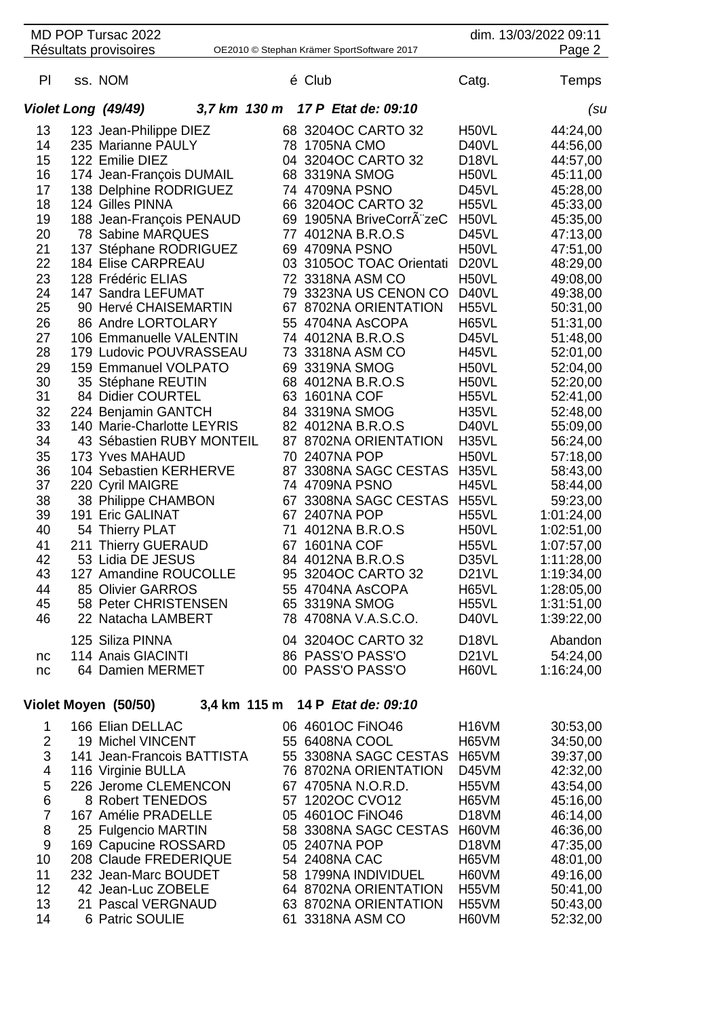|          |                                                             | MD POP Tursac 2022<br>Résultats provisoires |                            |    |                                  | OE2010 © Stephan Krämer SportSoftware 2017 |                             | dim. 13/03/2022 09:11<br>Page 2 |  |  |
|----------|-------------------------------------------------------------|---------------------------------------------|----------------------------|----|----------------------------------|--------------------------------------------|-----------------------------|---------------------------------|--|--|
| PI       |                                                             | ss. NOM                                     |                            |    | é Club                           |                                            | Catg.                       | Temps                           |  |  |
|          |                                                             |                                             | 3,7 km 130 m               |    |                                  | 17 P Etat de: 09:10                        |                             |                                 |  |  |
|          |                                                             | Violet Long (49/49)                         |                            |    |                                  |                                            |                             | (su                             |  |  |
| 13       |                                                             | 123 Jean-Philippe DIEZ                      |                            |    |                                  | 68 3204OC CARTO 32                         | H <sub>50</sub> VL          | 44:24,00                        |  |  |
| 14       |                                                             | 235 Marianne PAULY                          |                            |    | 78 1705NA CMO                    |                                            | D40VL                       | 44:56,00                        |  |  |
| 15       |                                                             | 122 Emilie DIEZ                             |                            | 04 |                                  | 3204OC CARTO 32                            | D <sub>18</sub> VL          | 44:57,00                        |  |  |
| 16       |                                                             |                                             | 174 Jean-François DUMAIL   |    | 68 3319NA SMOG                   |                                            | H50VL                       | 45:11,00                        |  |  |
| 17       |                                                             |                                             | 138 Delphine RODRIGUEZ     |    | 74 4709NA PSNO                   |                                            | D45VL                       | 45:28,00                        |  |  |
| 18       |                                                             | 124 Gilles PINNA                            |                            |    |                                  | 66 3204OC CARTO 32                         | <b>H55VL</b>                | 45:33,00                        |  |  |
| 19       |                                                             |                                             | 188 Jean-François PENAUD   | 77 |                                  | 69 1905NA BriveCorrA zeC                   | H <sub>50</sub> VL          | 45:35,00                        |  |  |
| 20<br>21 |                                                             | 78 Sabine MARQUES                           | 137 Stéphane RODRIGUEZ     |    | 4012NA B.R.O.S<br>69 4709NA PSNO |                                            | D45VL<br>H50VL              | 47:13,00<br>47:51,00            |  |  |
| 22       |                                                             | <b>184 Elise CARPREAU</b>                   |                            |    |                                  | 03 3105OC TOAC Orientati                   | D <sub>20</sub> VL          | 48:29,00                        |  |  |
| 23       |                                                             | 128 Frédéric ELIAS                          |                            |    | 72 3318NA ASM CO                 |                                            | H50VL                       | 49:08,00                        |  |  |
| 24       |                                                             | 147 Sandra LEFUMAT                          |                            | 79 |                                  | 3323NA US CENON CO                         | D40VL                       | 49:38,00                        |  |  |
| 25       |                                                             |                                             | 90 Hervé CHAISEMARTIN      | 67 |                                  | 8702NA ORIENTATION                         | H <sub>55</sub> VL          | 50:31,00                        |  |  |
| 26       |                                                             | 86 Andre LORTOLARY                          |                            |    |                                  | 55 4704NA AsCOPA                           | H65VL                       | 51:31,00                        |  |  |
| 27       |                                                             |                                             | 106 Emmanuelle VALENTIN    |    | 74 4012NA B.R.O.S                |                                            | D45VL                       | 51:48,00                        |  |  |
| 28       |                                                             |                                             | 179 Ludovic POUVRASSEAU    |    | 73 3318NA ASM CO                 |                                            | H45VL                       | 52:01,00                        |  |  |
| 29       |                                                             |                                             | 159 Emmanuel VOLPATO       |    | 69 3319NA SMOG                   |                                            | H50VL                       | 52:04,00                        |  |  |
| 30       |                                                             | 35 Stéphane REUTIN                          |                            |    | 68 4012NA B.R.O.S                |                                            | H <sub>50</sub> VL          | 52:20,00                        |  |  |
| 31       |                                                             | 84 Didier COURTEL                           |                            | 63 | 1601NA COF                       |                                            | H <sub>55</sub> VL          | 52:41,00                        |  |  |
| 32       |                                                             | 224 Benjamin GANTCH                         |                            | 84 | 3319NA SMOG                      |                                            | H <sub>35</sub> VL          | 52:48,00                        |  |  |
| 33       |                                                             |                                             | 140 Marie-Charlotte LEYRIS |    | 82 4012NA B.R.O.S                |                                            | D40VL                       | 55:09,00                        |  |  |
| 34       |                                                             |                                             | 43 Sébastien RUBY MONTEIL  |    |                                  | 87 8702NA ORIENTATION                      | H35VL                       | 56:24,00                        |  |  |
| 35       |                                                             | 173 Yves MAHAUD                             |                            |    | 70 2407NA POP                    |                                            | H50VL                       | 57:18,00                        |  |  |
| 36       |                                                             |                                             | 104 Sebastien KERHERVE     |    |                                  | 87 3308NA SAGC CESTAS                      | H35VL                       | 58:43,00                        |  |  |
| 37       |                                                             | 220 Cyril MAIGRE                            |                            |    | 74 4709NA PSNO                   |                                            | <b>H45VL</b>                | 58:44,00                        |  |  |
| 38       |                                                             | 38 Philippe CHAMBON                         |                            | 67 |                                  | 3308NA SAGC CESTAS                         | H55VL                       | 59:23,00                        |  |  |
| 39       |                                                             | 191 Eric GALINAT                            |                            |    | 67 2407NA POP                    |                                            | H <sub>55</sub> VL          | 1:01:24,00                      |  |  |
| 40       |                                                             | 54 Thierry PLAT                             |                            | 71 |                                  | 4012NA B.R.O.S                             | H <sub>50</sub> VL          | 1:02:51,00                      |  |  |
| 41       | 211                                                         | <b>Thierry GUERAUD</b>                      |                            | 67 | 1601NA COF                       |                                            | <b>H55VL</b>                | 1:07:57,00                      |  |  |
| 42       |                                                             | 53 Lidia DE JESUS                           |                            | 84 | 4012NA B.R.O.S                   |                                            | D35VL                       | 1:11:28,00                      |  |  |
| 43       |                                                             |                                             | 127 Amandine ROUCOLLE      |    |                                  | 95 3204OC CARTO 32                         | D <sub>21</sub> VL          | 1:19:34,00                      |  |  |
| 44       |                                                             | 85 Olivier GARROS                           |                            |    | 65 3319NA SMOG                   | 55 4704NA AsCOPA                           | H65VL                       | 1:28:05,00                      |  |  |
| 45<br>46 |                                                             | 22 Natacha LAMBERT                          | 58 Peter CHRISTENSEN       |    |                                  | 78 4708NA V.A.S.C.O.                       | H <sub>55</sub> VL<br>D40VL | 1:31:51,00<br>1:39:22,00        |  |  |
|          |                                                             |                                             |                            |    |                                  |                                            |                             |                                 |  |  |
|          |                                                             | 125 Siliza PINNA                            |                            |    |                                  | 04 3204OC CARTO 32                         | D <sub>18</sub> VL          | Abandon                         |  |  |
| nc       |                                                             | 114 Anais GIACINTI                          |                            |    | 86 PASS'O PASS'O                 |                                            | D <sub>21</sub> VL          | 54:24,00                        |  |  |
| nc       |                                                             | 64 Damien MERMET                            |                            |    | 00 PASS'O PASS'O                 |                                            | H60VL                       | 1:16:24,00                      |  |  |
|          | Violet Moyen (50/50)<br>14 P Etat de: 09:10<br>3,4 km 115 m |                                             |                            |    |                                  |                                            |                             |                                 |  |  |

|    | 166 Elian DELLAC           | 06 4601 OC FINO 46    | H <sub>16</sub> VM | 30:53,00 |
|----|----------------------------|-----------------------|--------------------|----------|
|    | 19 Michel VINCENT          | 55 6408NA COOL        | H65VM              | 34:50,00 |
| 3  | 141 Jean-Francois BATTISTA | 55 3308NA SAGC CESTAS | H65VM              | 39:37,00 |
| 4  | 116 Virginie BULLA         | 76 8702NA ORIENTATION | D45VM              | 42:32,00 |
| 5  | 226 Jerome CLEMENCON       | 67 4705NA N.O.R.D.    | H <sub>55</sub> VM | 43:54,00 |
| 6  | 8 Robert TENEDOS           | 57 1202OC CVO12       | H65VM              | 45:16,00 |
|    | 167 Amélie PRADELLE        | 05 4601OC FINO46      | D <sub>18</sub> VM | 46:14,00 |
| 8  | 25 Fulgencio MARTIN        | 58 3308NA SAGC CESTAS | H60VM              | 46:36,00 |
| 9  | 169 Capucine ROSSARD       | 05 2407NA POP         | D <sub>18</sub> VM | 47:35,00 |
| 10 | 208 Claude FREDERIQUE      | 54 2408NA CAC         | H65VM              | 48:01,00 |
| 11 | 232 Jean-Marc BOUDET       | 58 1799NA INDIVIDUEL  | H60VM              | 49:16,00 |
| 12 | 42 Jean-Luc ZOBELE         | 64 8702NA ORIENTATION | H55VM              | 50:41,00 |
| 13 | 21 Pascal VERGNAUD         | 63 8702NA ORIENTATION | H55VM              | 50:43,00 |
| 14 | 6 Patric SOULIE            | 61 3318NA ASM CO      | H60VM              | 52:32,00 |
|    |                            |                       |                    |          |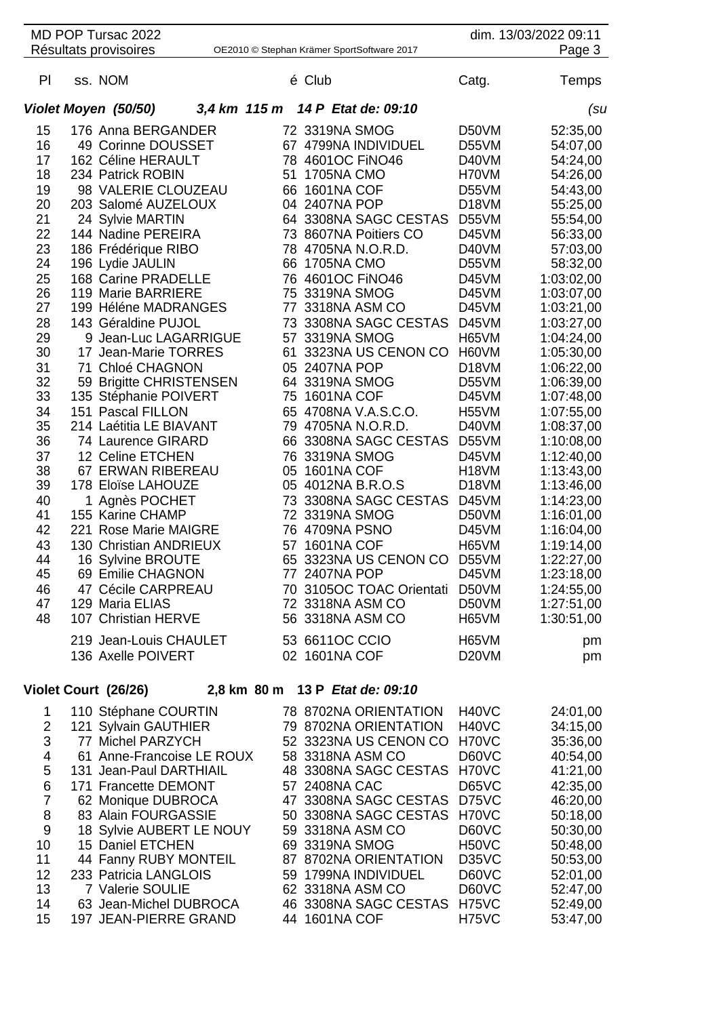|               | MD POP Tursac 2022<br>Résultats provisoires  |    |                   | OE2010 © Stephan Krämer SportSoftware 2017 |                             | dim. 13/03/2022 09:11<br>Page 3 |
|---------------|----------------------------------------------|----|-------------------|--------------------------------------------|-----------------------------|---------------------------------|
| PI            | ss. NOM                                      |    | é Club            |                                            | Catg.                       | Temps                           |
|               | Violet Moyen (50/50)                         |    |                   | 3,4 km 115 m 14 P Etat de: 09:10           |                             | (su                             |
| 15            | 176 Anna BERGANDER                           |    | 72 3319NA SMOG    |                                            | D50VM                       | 52:35,00                        |
| 16            | 49 Corinne DOUSSET                           |    |                   | 67 4799NA INDIVIDUEL                       | D55VM                       | 54:07,00                        |
| 17            | 162 Céline HERAULT                           |    | 78 4601OC FINO46  |                                            | D40VM                       | 54:24,00                        |
| 18            | 234 Patrick ROBIN                            | 51 | <b>1705NA CMO</b> |                                            | H70VM                       | 54:26,00                        |
| 19            | 98 VALERIE CLOUZEAU                          | 66 | <b>1601NA COF</b> |                                            | D55VM                       | 54:43,00                        |
| 20            | 203 Salomé AUZELOUX                          |    | 04 2407NA POP     |                                            | D <sub>18</sub> VM          | 55:25,00                        |
| 21            | 24 Sylvie MARTIN                             |    |                   | 64 3308NA SAGC CESTAS                      | D55VM                       | 55:54,00                        |
| 22            | 144 Nadine PEREIRA                           |    |                   | 73 8607NA Poitiers CO                      | D45VM                       | 56:33,00                        |
| 23            | 186 Frédérique RIBO                          | 78 |                   | 4705NA N.O.R.D.                            | D40VM                       | 57:03,00                        |
| 24            | 196 Lydie JAULIN                             |    | 66 1705NA CMO     |                                            | D55VM                       | 58:32,00                        |
| 25            | 168 Carine PRADELLE                          | 76 | 4601OC FINO46     |                                            | D45VM                       | 1:03:02,00                      |
| 26            | 119 Marie BARRIERE                           | 75 | 3319NA SMOG       |                                            | D45VM                       | 1:03:07,00                      |
| 27            | 199 Héléne MADRANGES                         | 77 | 3318NA ASM CO     |                                            | D45VM                       | 1:03:21,00                      |
| 28            | 143 Géraldine PUJOL                          | 73 |                   | 3308NA SAGC CESTAS                         | D45VM                       | 1:03:27,00                      |
| 29            | 9 Jean-Luc LAGARRIGUE                        |    | 57 3319NA SMOG    |                                            | H65VM                       | 1:04:24,00                      |
| 30            | 17 Jean-Marie TORRES                         | 61 |                   | 3323NA US CENON CO                         | H60VM                       | 1:05:30,00                      |
| 31            | 71 Chloé CHAGNON                             |    | 05 2407NA POP     |                                            | D <sub>18</sub> VM          | 1:06:22,00                      |
| 32<br>33      | 59 Brigitte CHRISTENSEN                      | 75 | 64 3319NA SMOG    |                                            | D55VM                       | 1:06:39,00                      |
| 34            | 135 Stéphanie POIVERT                        |    | <b>1601NA COF</b> |                                            | D45VM                       | 1:07:48,00                      |
| 35            | 151 Pascal FILLON<br>214 Laétitia LE BIAVANT |    |                   | 65 4708NA V.A.S.C.O.<br>79 4705NA N.O.R.D. | H <sub>55</sub> VM<br>D40VM | 1:07:55,00<br>1:08:37,00        |
| 36            | 74 Laurence GIRARD                           |    |                   | 66 3308NA SAGC CESTAS                      | D55VM                       | 1:10:08,00                      |
| 37            | 12 Celine ETCHEN                             |    | 76 3319NA SMOG    |                                            | D45VM                       | 1:12:40,00                      |
| 38            | 67 ERWAN RIBEREAU                            |    | 05 1601NA COF     |                                            | H <sub>18</sub> VM          | 1:13:43,00                      |
| 39            | 178 Eloïse LAHOUZE                           |    | 05 4012NA B.R.O.S |                                            | D <sub>18</sub> VM          | 1:13:46,00                      |
| 40            | 1 Agnès POCHET                               |    |                   | 73 3308NA SAGC CESTAS                      | D45VM                       | 1:14:23,00                      |
| 41            | 155 Karine CHAMP                             |    | 72 3319NA SMOG    |                                            | D50VM                       | 1:16:01,00                      |
| 42            | 221 Rose Marie MAIGRE                        |    | 76 4709NA PSNO    |                                            | D45VM                       | 1:16:04,00                      |
| 43            | 130 Christian ANDRIEUX                       | 57 | <b>1601NA COF</b> |                                            | H65VM                       | 1:19:14,00                      |
| 44            | 16 Sylvine BROUTE                            | 65 |                   | 3323NA US CENON CO                         | D55VM                       | 1:22:27,00                      |
| 45            | 69 Emilie CHAGNON                            |    | 77 2407NA POP     |                                            | D45VM                       | 1:23:18,00                      |
| 46            | 47 Cécile CARPREAU                           |    |                   | 70 3105OC TOAC Orientati                   | D50VM                       | 1:24:55,00                      |
| 47            | 129 Maria ELIAS                              |    |                   | 72 3318NA ASM CO                           | D50VM                       | 1:27:51,00                      |
| 48            | 107 Christian HERVE                          |    |                   | 56 3318NA ASM CO                           | H65VM                       | 1:30:51,00                      |
|               | 219 Jean-Louis CHAULET                       |    | 53 6611OC CCIO    |                                            | H65VM                       | pm                              |
|               | 136 Axelle POIVERT                           |    | 02 1601NA COF     |                                            | D <sub>20</sub> VM          | pm                              |
|               | Violet Court (26/26)                         |    |                   | 2,8 km 80 m 13 P Etat de: 09:10            |                             |                                 |
| 1             | 110 Stéphane COURTIN                         |    |                   | 78 8702NA ORIENTATION                      | H <sub>40</sub> VC          | 24:01,00                        |
| $\mathcal{P}$ | 121 Sylvain GAUTHIFR                         |    |                   | 79 8702NA ORIENTATION                      | HAONC                       | 34.15.00                        |

|     | $110$ JIGPHAHG UUUNTIIN   | TO OTVEINT OINEINTATION     | 11 TU V U          | 27.01,00 |
|-----|---------------------------|-----------------------------|--------------------|----------|
| 2   | 121 Sylvain GAUTHIER      | 79 8702NA ORIENTATION       | H <sub>40</sub> VC | 34:15,00 |
| 3   | 77 Michel PARZYCH         | 52 3323NA US CENON CO H70VC |                    | 35:36,00 |
| 4   | 61 Anne-Francoise LE ROUX | 58 3318NA ASM CO            | D60VC              | 40:54,00 |
| 5   | 131 Jean-Paul DARTHIAIL   | 48 3308NA SAGC CESTAS H70VC |                    | 41:21,00 |
| 6   | 171 Francette DEMONT      | 57 2408NA CAC               | D65VC              | 42:35,00 |
|     | 62 Monique DUBROCA        | 47 3308NA SAGC CESTAS       | D75VC              | 46:20,00 |
| -8  | 83 Alain FOURGASSIE       | 50 3308NA SAGC CESTAS H70VC |                    | 50:18,00 |
| -9  | 18 Sylvie AUBERT LE NOUY  | 59 3318NA ASM CO            | D60VC              | 50:30,00 |
| 10  | 15 Daniel ETCHEN          | 69 3319NA SMOG              | H <sub>50</sub> VC | 50:48,00 |
| 11  | 44 Fanny RUBY MONTEIL     | 87 8702NA ORIENTATION       | D <sub>35</sub> VC | 50:53,00 |
| 12. | 233 Patricia LANGLOIS     | 59 1799NA INDIVIDUEL        | D60VC              | 52:01,00 |
| 13  | 7 Valerie SOULIE          | 62 3318NA ASM CO            | D60VC              | 52:47,00 |
| 14  | 63 Jean-Michel DUBROCA    | 46 3308NA SAGC CESTAS H75VC |                    | 52:49,00 |
| 15  | 197 JEAN-PIERRE GRAND     | 44 1601NA COF               | H75VC              | 53:47,00 |
|     |                           |                             |                    |          |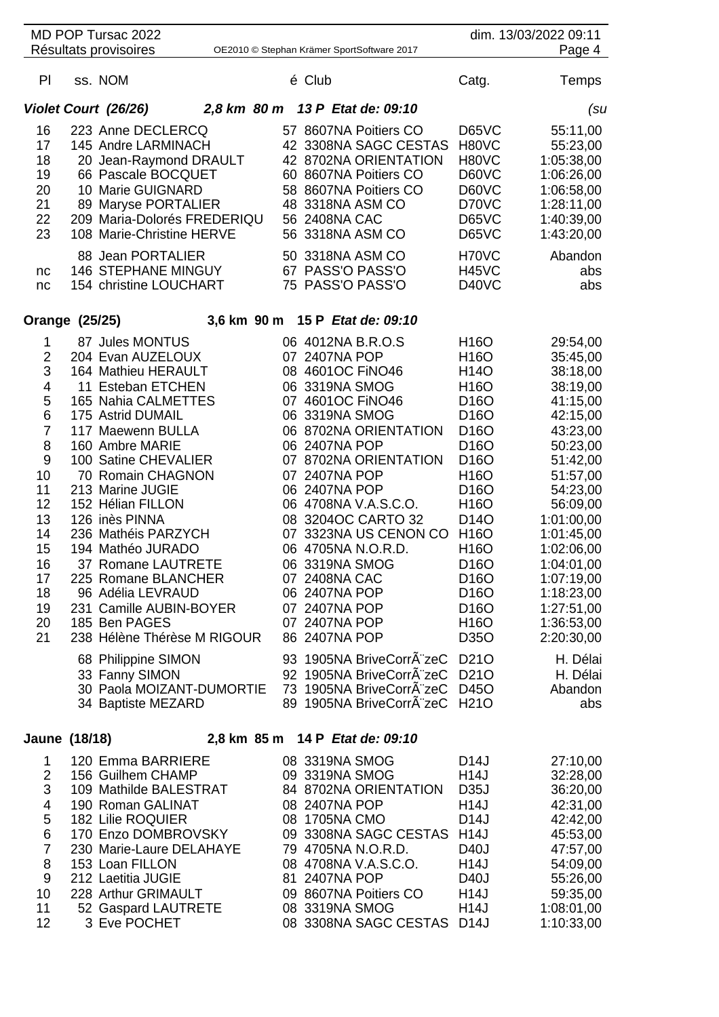|                                                                                                                                             | MD POP Tursac 2022                                                                                                                                                                                                                                                                                                                                                                                                                                                    |  |                                                                                                                                                                                                                                                                          |                                                                                                                                             |                                                                                                                                                                                                                                                                                                                                                            | dim. 13/03/2022 09:11                                                                                                                                                                                                                                                      |
|---------------------------------------------------------------------------------------------------------------------------------------------|-----------------------------------------------------------------------------------------------------------------------------------------------------------------------------------------------------------------------------------------------------------------------------------------------------------------------------------------------------------------------------------------------------------------------------------------------------------------------|--|--------------------------------------------------------------------------------------------------------------------------------------------------------------------------------------------------------------------------------------------------------------------------|---------------------------------------------------------------------------------------------------------------------------------------------|------------------------------------------------------------------------------------------------------------------------------------------------------------------------------------------------------------------------------------------------------------------------------------------------------------------------------------------------------------|----------------------------------------------------------------------------------------------------------------------------------------------------------------------------------------------------------------------------------------------------------------------------|
|                                                                                                                                             | Résultats provisoires                                                                                                                                                                                                                                                                                                                                                                                                                                                 |  |                                                                                                                                                                                                                                                                          | OE2010 © Stephan Krämer SportSoftware 2017                                                                                                  |                                                                                                                                                                                                                                                                                                                                                            | Page 4                                                                                                                                                                                                                                                                     |
| PI                                                                                                                                          | ss. NOM                                                                                                                                                                                                                                                                                                                                                                                                                                                               |  | é Club                                                                                                                                                                                                                                                                   |                                                                                                                                             | Catg.                                                                                                                                                                                                                                                                                                                                                      | Temps                                                                                                                                                                                                                                                                      |
|                                                                                                                                             | Violet Court (26/26)                                                                                                                                                                                                                                                                                                                                                                                                                                                  |  |                                                                                                                                                                                                                                                                          | 2,8 km 80 m 13 P Etat de: 09:10                                                                                                             |                                                                                                                                                                                                                                                                                                                                                            | (su                                                                                                                                                                                                                                                                        |
| 16<br>17<br>18<br>19<br>20<br>21<br>22<br>23                                                                                                | 223 Anne DECLERCQ<br>145 Andre LARMINACH<br>20 Jean-Raymond DRAULT<br>66 Pascale BOCQUET<br>10 Marie GUIGNARD<br>89 Maryse PORTALIER<br>209 Maria-Dolorés FREDERIQU<br>108 Marie-Christine HERVE<br>88 Jean PORTALIER                                                                                                                                                                                                                                                 |  | 48 3318NA ASM CO<br>56 2408NA CAC<br>56 3318NA ASM CO<br>50 3318NA ASM CO                                                                                                                                                                                                | 57 8607NA Poitiers CO<br>42 3308NA SAGC CESTAS<br>42 8702NA ORIENTATION<br>60 8607NA Poitiers CO<br>58 8607NA Poitiers CO                   | D65VC<br>H80VC<br>H80VC<br>D60VC<br>D60VC<br>D70VC<br>D65VC<br><b>D65VC</b><br>H70VC                                                                                                                                                                                                                                                                       | 55:11,00<br>55:23,00<br>1:05:38,00<br>1:06:26,00<br>1:06:58,00<br>1:28:11,00<br>1:40:39,00<br>1:43:20,00<br>Abandon                                                                                                                                                        |
| nc<br>nc                                                                                                                                    | 146 STEPHANE MINGUY<br>154 christine LOUCHART                                                                                                                                                                                                                                                                                                                                                                                                                         |  | 67 PASS'O PASS'O<br>75 PASS'O PASS'O                                                                                                                                                                                                                                     |                                                                                                                                             | <b>H45VC</b><br>D40VC                                                                                                                                                                                                                                                                                                                                      | abs<br>abs                                                                                                                                                                                                                                                                 |
| Orange (25/25)                                                                                                                              |                                                                                                                                                                                                                                                                                                                                                                                                                                                                       |  |                                                                                                                                                                                                                                                                          | 3,6 km 90 m 15 P Etat de: 09:10                                                                                                             |                                                                                                                                                                                                                                                                                                                                                            |                                                                                                                                                                                                                                                                            |
| 1<br>$\overline{2}$<br>3<br>4<br>5<br>6<br>$\overline{7}$<br>8<br>9<br>10<br>11<br>12<br>13<br>14<br>15<br>16<br>17<br>18<br>19<br>20<br>21 | 87 Jules MONTUS<br>204 Evan AUZELOUX<br>164 Mathieu HERAULT<br>11 Esteban ETCHEN<br>165 Nahia CALMETTES<br>175 Astrid DUMAIL<br>117 Maewenn BULLA<br>160 Ambre MARIE<br>100 Satine CHEVALIER<br>70 Romain CHAGNON<br>213 Marine JUGIE<br>152 Hélian FILLON<br>126 inès PINNA<br>236 Mathéis PARZYCH<br>194 Mathéo JURADO<br>37 Romane LAUTRETE<br>225 Romane BLANCHER<br>96 Adélia LEVRAUD<br>231 Camille AUBIN-BOYER<br>185 Ben PAGES<br>238 Hélène Thérèse M RIGOUR |  | 06 4012NA B.R.O.S<br>07 2407NA POP<br>08 4601OC FINO46<br>06 3319NA SMOG<br>07 4601OC FINO46<br>06 3319NA SMOG<br>06 2407NA POP<br>07 2407NA POP<br>06 2407NA POP<br>06 3319NA SMOG<br>07 2408NA CAC<br>06 2407NA POP<br>07 2407NA POP<br>07 2407NA POP<br>86 2407NA POP | 06 8702NA ORIENTATION<br>07 8702NA ORIENTATION<br>06 4708NA V.A.S.C.O.<br>08 3204OC CARTO 32<br>07 3323NA US CENON CO<br>06 4705NA N.O.R.D. | H16O<br>H16O<br>H <sub>14</sub> O<br>H16O<br>D <sub>16</sub> O<br>D <sub>16</sub> O<br>D <sub>16</sub> O<br>D <sub>16</sub> O<br>D <sub>16</sub> O<br>H16O<br>D <sub>16</sub> O<br>H16O<br>D <sub>14</sub> O<br>H <sub>16</sub> O<br>H16O<br>D <sub>16</sub> O<br>D <sub>16</sub> O<br>D <sub>16</sub> O<br>D <sub>16</sub> O<br>H <sub>16</sub> O<br>D350 | 29:54,00<br>35:45,00<br>38:18,00<br>38:19,00<br>41:15,00<br>42:15,00<br>43:23,00<br>50:23,00<br>51:42,00<br>51:57,00<br>54:23,00<br>56:09,00<br>1:01:00,00<br>1:01:45,00<br>1:02:06,00<br>1:04:01,00<br>1:07:19,00<br>1:18:23,00<br>1:27:51,00<br>1:36:53,00<br>2:20:30,00 |
|                                                                                                                                             | 68 Philippine SIMON<br>33 Fanny SIMON<br>30 Paola MOIZANT-DUMORTIE<br>34 Baptiste MEZARD                                                                                                                                                                                                                                                                                                                                                                              |  |                                                                                                                                                                                                                                                                          | 93 1905NA BriveCorrA zeC<br>92 1905NA BriveCorrA zeC<br>73 1905NA BriveCorrA zeC D45O<br>89 1905NA BriveCorrA zeC H21O                      | D <sub>21</sub> O<br>D <sub>21</sub> O                                                                                                                                                                                                                                                                                                                     | H. Délai<br>H. Délai<br>Abandon<br>abs                                                                                                                                                                                                                                     |
| Jaune (18/18)                                                                                                                               |                                                                                                                                                                                                                                                                                                                                                                                                                                                                       |  |                                                                                                                                                                                                                                                                          | 2,8 km 85 m 14 P Etat de: 09:10                                                                                                             |                                                                                                                                                                                                                                                                                                                                                            |                                                                                                                                                                                                                                                                            |
|                                                                                                                                             | 1 120 Emma RARRIERE                                                                                                                                                                                                                                                                                                                                                                                                                                                   |  | OR 3310NA SMOC                                                                                                                                                                                                                                                           |                                                                                                                                             | $\mathsf{D44L}$                                                                                                                                                                                                                                                                                                                                            | $27.10 \Omega$                                                                                                                                                                                                                                                             |

|    | 120 Emma BARRIERE        | 08 3319NA SMOG             | D <sub>14</sub> J | 27:10,00   |
|----|--------------------------|----------------------------|-------------------|------------|
| 2  | 156 Guilhem CHAMP        | 09 3319NA SMOG             | <b>H14J</b>       | 32:28,00   |
| 3  | 109 Mathilde BALESTRAT   | 84 8702NA ORIENTATION      | <b>D35J</b>       | 36:20,00   |
| 4  | 190 Roman GALINAT        | 08 2407NA POP              | <b>H14J</b>       | 42:31,00   |
| 5  | 182 Lilie ROQUIER        | 08 1705NA CMO              | D <sub>14</sub> J | 42:42,00   |
| 6  | 170 Enzo DOMBROVSKY      | 09 3308NA SAGC CESTAS      | <b>H14J</b>       | 45:53,00   |
|    | 230 Marie-Laure DELAHAYE | 79 4705NA N.O.R.D.         | D40J              | 47:57,00   |
| 8  | 153 Loan FILLON          | 08 4708NA V.A.S.C.O.       | <b>H14J</b>       | 54:09,00   |
| 9  | 212 Laetitia JUGIE       | 81 2407NA POP              | D <sub>40</sub> J | 55:26,00   |
| 10 | 228 Arthur GRIMAULT      | 09 8607NA Poitiers CO      | H14J              | 59:35,00   |
| 11 | 52 Gaspard LAUTRETE      | 08 3319NA SMOG             | <b>H14J</b>       | 1:08:01,00 |
| 12 | 3 Eve POCHET             | 08 3308NA SAGC CESTAS D14J |                   | 1:10:33,00 |
|    |                          |                            |                   |            |